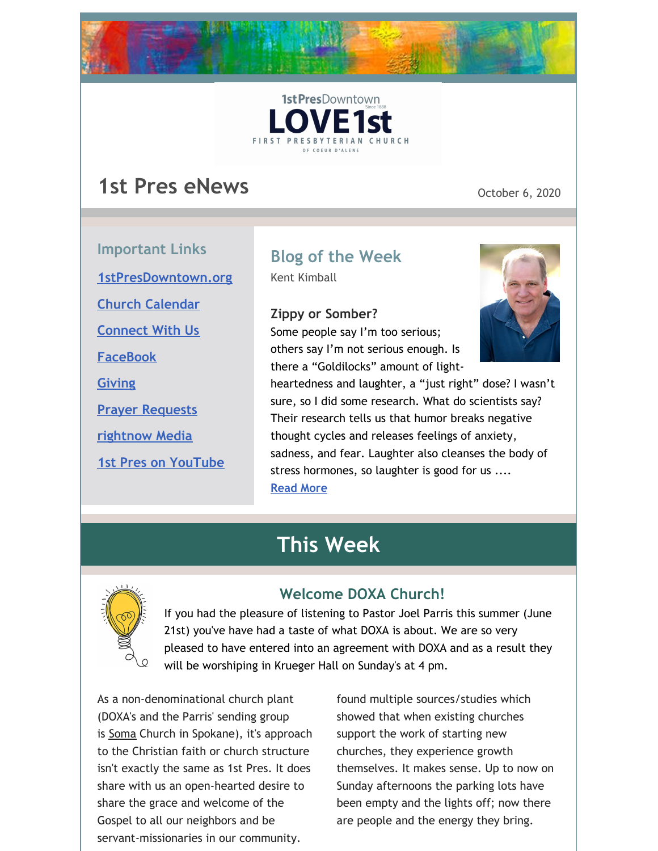



# **1st Pres eNews** October 6, 2020

**Important Links [1stPresDowntown.org](http://www.1stpresdowntown.org/) Church [Calendar](http://www.1stpresdowntown.org/calendar/) [Connect](https://www.1stpresdowntown.org/connect-with-us.html) With Us [FaceBook](https://www.facebook.com/cdadowntownchurch/) [Giving](https://www.eservicepayments.com/cgi-bin/Vanco_ver3.vps?appver3=Fi1giPL8kwX_Oe1AO50jRhFtjI3jPush-TiV_cWeMqos4NSQukCYDzKLUtTTUlsf2EvVVAEjqawDomKT1pbouWbIw4yEvEZZftNOfs1-eIM%3D&ver=3) Prayer [Requests](https://www.1stpresdowntown.org/prayer-request.html) [rightnow](https://accounts.rightnowmedia.org/Account/Invite/FirstPresDowntown?returnUrl=https://www.rightnowmedia.org/Account/Media/InviteReturn) Media 1st Pres on [YouTube](https://www.youtube.com/channel/UCCfruZriuZfS2hVar79nXbQ)**

# **Blog of the Week**

Kent Kimball

**Zippy or Somber?**

Some people say I'm too serious; others say I'm not serious enough. Is there a "Goldilocks" amount of light-



heartedness and laughter, a "just right" dose? I wasn't sure, so I did some research. What do scientists say? Their research tells us that humor breaks negative thought cycles and releases feelings of anxiety, sadness, and fear. Laughter also cleanses the body of stress hormones, so laughter is good for us .... **[Read](https://www.1stpresdowntown.org/blog/zippy-or-somber) More**

# **This Week**



## **Welcome DOXA Church!**

If you had the pleasure of listening to Pastor Joel Parris this summer (June 21st) you've have had a taste of what DOXA is about. We are so very pleased to have entered into an agreement with DOXA and as a result they will be worshiping in Krueger Hall on Sunday's at 4 pm.

As a non-denominational church plant (DOXA's and the Parris' sending group is [Soma](http://r20.rs6.net/tn.jsp?f=001UMHKF3S2GzWhhNHVfX8whIGe_BzGqeoRBQjUE9_X0uYvU9NEf5KX7uPnD-CcDDNEArexKI0jZ-9EceiVBDoFsxaOaMgYcH5RW2gIhHLUcKwAjl1qv4L_oTkHi92404-tMsWER4aJYt9owk5XXXtGQg==&c=yz6Rs4sErq_DwZM6nON5w_Bfc_NoYTZgjdyHr8AFYBWmRCqFAS3Ivg==&ch=irNyCu6yPSr9SVf5XRa5sM7A3cnzxfJIWU5-saFBi_mT5aFeOFegqg==) Church in Spokane), it's approach to the Christian faith or church structure isn't exactly the same as 1st Pres. It does share with us an open-hearted desire to share the grace and welcome of the Gospel to all our neighbors and be servant-missionaries in our community.

found multiple sources/studies which showed that when existing churches support the work of starting new churches, they experience growth themselves. It makes sense. Up to now on Sunday afternoons the parking lots have been empty and the lights off; now there are people and the energy they bring.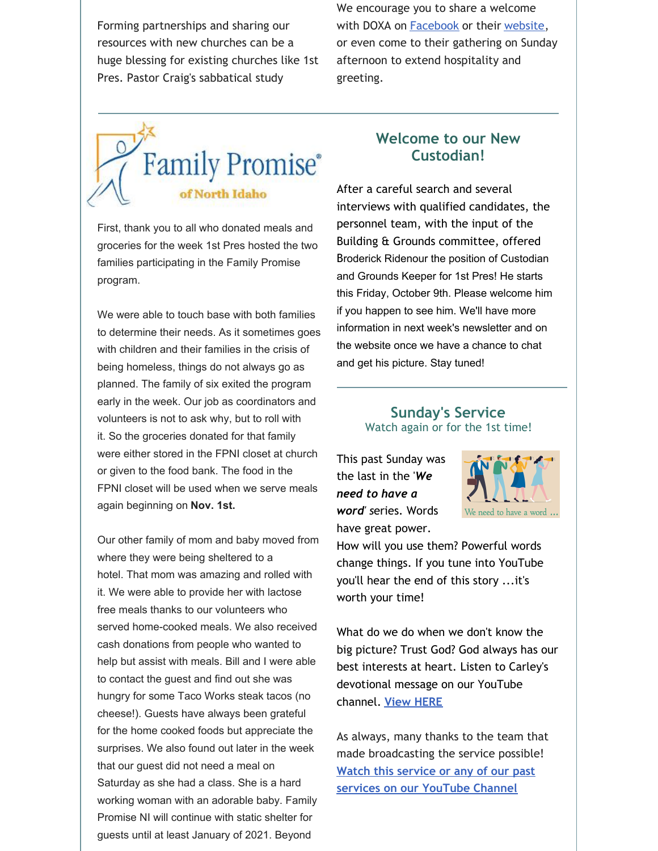Forming partnerships and sharing our resources with new churches can be a huge blessing for existing churches like 1st Pres. Pastor Craig's sabbatical study

We encourage you to share a welcome with DOXA on [Facebook](https://www.facebook.com/doxacda/) or their [website](https://www.doxacda.com/contact), or even come to their gathering on Sunday afternoon to extend hospitality and greeting.



First, thank you to all who donated meals and groceries for the week 1st Pres hosted the two families participating in the Family Promise program.

We were able to touch base with both families to determine their needs. As it sometimes goes with children and their families in the crisis of being homeless, things do not always go as planned. The family of six exited the program early in the week. Our job as coordinators and volunteers is not to ask why, but to roll with it. So the groceries donated for that family were either stored in the FPNI closet at church or given to the food bank. The food in the FPNI closet will be used when we serve meals again beginning on **Nov. 1st.**

Our other family of mom and baby moved from where they were being sheltered to a hotel. That mom was amazing and rolled with it. We were able to provide her with lactose free meals thanks to our volunteers who served home-cooked meals. We also received cash donations from people who wanted to help but assist with meals. Bill and I were able to contact the guest and find out she was hungry for some Taco Works steak tacos (no cheese!). Guests have always been grateful for the home cooked foods but appreciate the surprises. We also found out later in the week that our guest did not need a meal on Saturday as she had a class. She is a hard working woman with an adorable baby. Family Promise NI will continue with static shelter for guests until at least January of 2021. Beyond

#### **Welcome to our New Custodian!**

After a careful search and several interviews with qualified candidates, the personnel team, with the input of the Building & Grounds committee, offered Broderick Ridenour the position of Custodian and Grounds Keeper for 1st Pres! He starts this Friday, October 9th. Please welcome him if you happen to see him. We'll have more information in next week's newsletter and on the website once we have a chance to chat and get his picture. Stay tuned!

#### **Sunday's Service** Watch again or for the 1st time!

This past Sunday was the last in the '*We need to have a word' s*eries. Words have great power.



How will you use them? Powerful words change things. If you tune into YouTube you'll hear the end of this story ...it's worth your time!

What do we do when we don't know the big picture? Trust God? God always has our best interests at heart. Listen to Carley's devotional message on our YouTube channel. **View [HERE](https://youtu.be/dOqOHf6Ved0)**

As always, many thanks to the team that made broadcasting the service possible! **Watch this service or any of our past services on our [YouTube](http://r20.rs6.net/tn.jsp?f=001TAEhPUeQXKS9PqOcukkRsNWUgGUBHZ7_nsdteClYMruoiLz1t14TsRr7UTt-UexyP7z8jFaaIPKIpT969G_ZUIkYi5mYoaY3H9bWFO_7npHXgu-wj68OzdnwykJslgohuottq9rPNR3w65MF7RkVXiqP9csz0dJjjE9juxHUxnD7AALW2Znqj4jNvmwW1hgb&c=xj6uxv4Ure-jLmebrsiWHqZgofQxk1jiFOFxtq_GIS985IIRxfa2wg==&ch=yLb4idgMcf26VkL_Lc86HYFK_5hMVavweuM2KPPMNNX6Iob9yt8sLA==) Channel**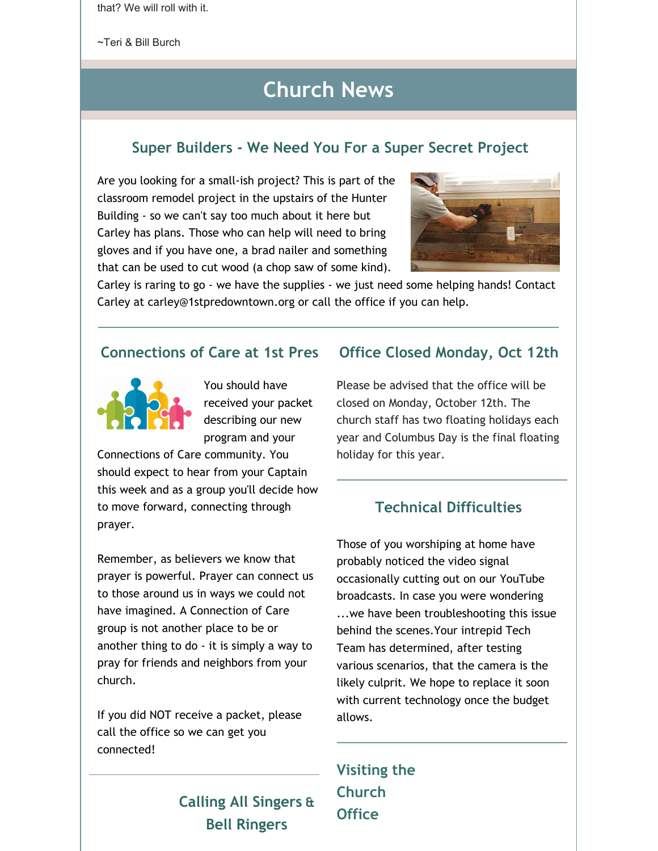that? We will roll with it.

~Teri & Bill Burch

# **Church News**

#### **Super Builders - We Need You For a Super Secret Project**

Are you looking for a small-ish project? This is part of the classroom remodel project in the upstairs of the Hunter Building - so we can't say too much about it here but Carley has plans. Those who can help will need to bring gloves and if you have one, a brad nailer and something that can be used to cut wood (a chop saw of some kind).



Carley is raring to go - we have the supplies - we just need some helping hands! Contact Carley at carley@1stpredowntown.org or call the office if you can help.

#### **Connections of Care at 1st Pres**



You should have received your packet describing our new program and your

Connections of Care community. You should expect to hear from your Captain this week and as a group you'll decide how to move forward, connecting through prayer.

Remember, as believers we know that prayer is powerful. Prayer can connect us to those around us in ways we could not have imagined. A Connection of Care group is not another place to be or another thing to do - it is simply a way to pray for friends and neighbors from your church.

If you did NOT receive a packet, please call the office so we can get you connected!

# **Calling All Singers & Bell Ringers**

#### **Office Closed Monday, Oct 12th**

Please be advised that the office will be closed on Monday, October 12th. The church staff has two floating holidays each year and Columbus Day is the final floating holiday for this year.

### **Technical Difficulties**

Those of you worshiping at home have probably noticed the video signal occasionally cutting out on our YouTube broadcasts. In case you were wondering ...we have been troubleshooting this issue behind the scenes.Your intrepid Tech Team has determined, after testing various scenarios, that the camera is the likely culprit. We hope to replace it soon with current technology once the budget allows.

**Visiting the Church Office**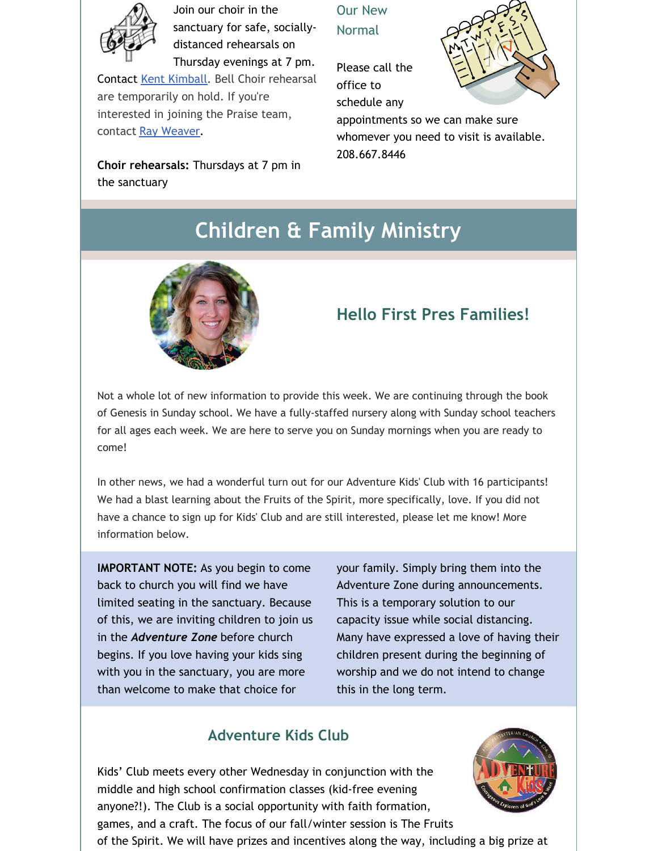

Join our choir in the sanctuary for safe, sociallydistanced rehearsals on Thursday evenings at 7 pm.

Contact Kent [Kimball](mailto:kent1stpres@gmail.com). Bell Choir rehearsal are temporarily on hold. If you're interested in joining the Praise team, contact Ray [Weaver](mailto:rayweaver102@gmail.com).

**Choir rehearsals:** Thursdays at 7 pm in the sanctuary

Our New Normal

Please call the office to schedule any



appointments so we can make sure whomever you need to visit is available. 208.667.8446

# **Children & Family Ministry**



## **Hello First Pres Families!**

Not a whole lot of new information to provide this week. We are continuing through the book of Genesis in Sunday school. We have a fully-staffed nursery along with Sunday school teachers for all ages each week. We are here to serve you on Sunday mornings when you are ready to come!

In other news, we had a wonderful turn out for our Adventure Kids' Club with 16 participants! We had a blast learning about the Fruits of the Spirit, more specifically, love. If you did not have a chance to sign up for Kids' Club and are still interested, please let me know! More information below.

**IMPORTANT NOTE:** As you begin to come back to church you will find we have limited seating in the sanctuary. Because of this, we are inviting children to join us in the *Adventure Zone* before church begins. If you love having your kids sing with you in the sanctuary, you are more than welcome to make that choice for

your family. Simply bring them into the Adventure Zone during announcements. This is a temporary solution to our capacity issue while social distancing. Many have expressed a love of having their children present during the beginning of worship and we do not intend to change this in the long term.

## **Adventure Kids Club**

Kids' Club meets every other Wednesday in conjunction with the middle and high school confirmation classes (kid-free evening anyone?!). The Club is a social opportunity with faith formation, games, and a craft. The focus of our fall/winter session is The Fruits



of the Spirit. We will have prizes and incentives along the way, including a big prize at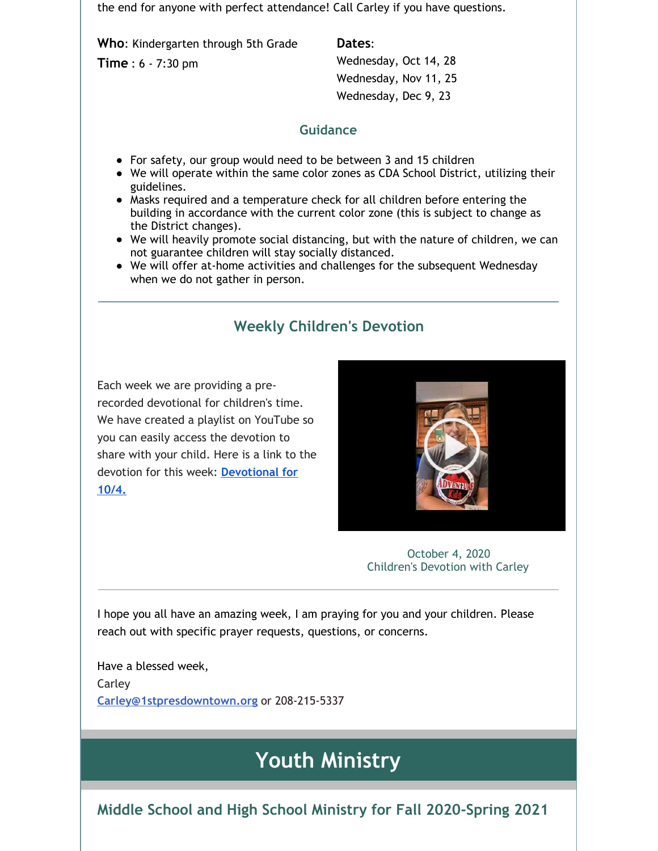the end for anyone with perfect attendance! Call Carley if you have questions.

**Who**: Kindergarten through 5th Grade

**Time** : 6 - 7:30 pm

**Dates**:

Wednesday, Oct 14, 28 Wednesday, Nov 11, 25 Wednesday, Dec 9, 23

#### **Guidance**

- For safety, our group would need to be between 3 and 15 children
- We will operate within the same color zones as CDA School District, utilizing their guidelines.
- Masks required and a temperature check for all children before entering the building in accordance with the current color zone (this is subject to change as the District changes).
- We will heavily promote social distancing, but with the nature of children, we can not guarantee children will stay socially distanced.
- We will offer at-home activities and challenges for the subsequent Wednesday when we do not gather in person.

## **Weekly Children's Devotion**

Each week we are providing a prerecorded devotional for children's time. We have created a playlist on YouTube so you can easily access the devotion to share with your child. Here is a link to the devotion for this week: **[Devotional](https://youtu.be/dOqOHf6Ved0) for 10/4.**



October 4, 2020 Children's Devotion with Carley

I hope you all have an amazing week, I am praying for you and your children. Please reach out with specific prayer requests, questions, or concerns.

Have a blessed week, Carley **[Carley@1stpresdowntown.org](mailto:Carley@1stpresdowntown.org)** or 208-215-5337

# **Youth Ministry**

**Middle School and High School Ministry for Fall 2020-Spring 2021**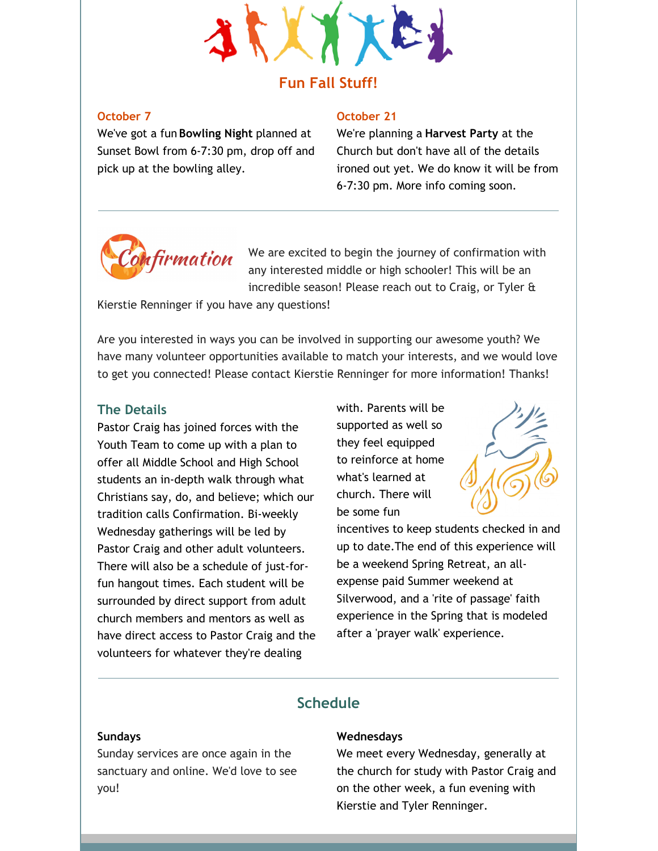

## **Fun Fall Stuff!**

#### **October 7**

We've got a fun **Bowling Night** planned at Sunset Bowl from 6-7:30 pm, drop off and pick up at the bowling alley.

#### **October 21**

We're planning a **Harvest Party** at the Church but don't have all of the details ironed out yet. We do know it will be from 6-7:30 pm. More info coming soon.



We are excited to begin the journey of confirmation with any interested middle or high schooler! This will be an incredible season! Please reach out to Craig, or Tyler &

Kierstie Renninger if you have any questions!

Are you interested in ways you can be involved in supporting our awesome youth? We have many volunteer opportunities available to match your interests, and we would love to get you connected! Please contact Kierstie Renninger for more information! Thanks!

#### **The Details**

Pastor Craig has joined forces with the Youth Team to come up with a plan to offer all Middle School and High School students an in-depth walk through what Christians say, do, and believe; which our tradition calls Confirmation. Bi-weekly Wednesday gatherings will be led by Pastor Craig and other adult volunteers. There will also be a schedule of just-forfun hangout times. Each student will be surrounded by direct support from adult church members and mentors as well as have direct access to Pastor Craig and the volunteers for whatever they're dealing

with. Parents will be supported as well so they feel equipped to reinforce at home what's learned at church. There will be some fun



incentives to keep students checked in and up to date.The end of this experience will be a weekend Spring Retreat, an allexpense paid Summer weekend at Silverwood, and a 'rite of passage' faith experience in the Spring that is modeled after a 'prayer walk' experience.

#### **Schedule**

#### **Sundays**

Sunday services are once again in the sanctuary and online. We'd love to see you!

#### **Wednesdays**

We meet every Wednesday, generally at the church for study with Pastor Craig and on the other week, a fun evening with Kierstie and Tyler Renninger.